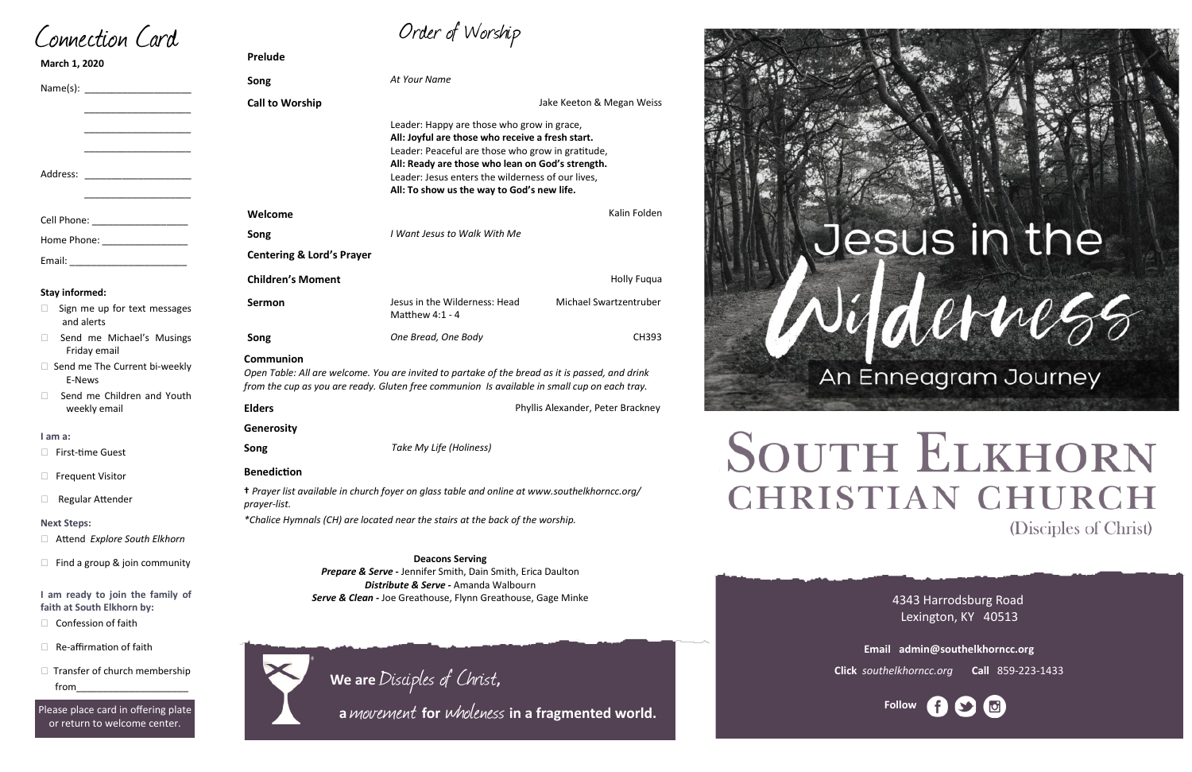$\Box$  Transfer of church membership from\_\_\_\_\_\_\_\_\_\_\_\_\_\_\_\_\_\_\_\_\_

4343 Harrodsburg Road Lexington, KY 40513

| Song                                                                                                         |                                                                                    | At Your Name                                                                                                                                                                                                                                                                                                                                                                                                                                                                                                                                                                                                                                                                                                                                                          |  |
|--------------------------------------------------------------------------------------------------------------|------------------------------------------------------------------------------------|-----------------------------------------------------------------------------------------------------------------------------------------------------------------------------------------------------------------------------------------------------------------------------------------------------------------------------------------------------------------------------------------------------------------------------------------------------------------------------------------------------------------------------------------------------------------------------------------------------------------------------------------------------------------------------------------------------------------------------------------------------------------------|--|
| <b>Call to Worship</b>                                                                                       |                                                                                    | Jake Keeton & Megan Weiss                                                                                                                                                                                                                                                                                                                                                                                                                                                                                                                                                                                                                                                                                                                                             |  |
|                                                                                                              |                                                                                    |                                                                                                                                                                                                                                                                                                                                                                                                                                                                                                                                                                                                                                                                                                                                                                       |  |
| Welcome                                                                                                      |                                                                                    | Kalin Folden                                                                                                                                                                                                                                                                                                                                                                                                                                                                                                                                                                                                                                                                                                                                                          |  |
| Song                                                                                                         | I Want Jesus to Walk With Me                                                       |                                                                                                                                                                                                                                                                                                                                                                                                                                                                                                                                                                                                                                                                                                                                                                       |  |
|                                                                                                              |                                                                                    |                                                                                                                                                                                                                                                                                                                                                                                                                                                                                                                                                                                                                                                                                                                                                                       |  |
| <b>Children's Moment</b>                                                                                     |                                                                                    | <b>Holly Fuqua</b>                                                                                                                                                                                                                                                                                                                                                                                                                                                                                                                                                                                                                                                                                                                                                    |  |
| Sermon                                                                                                       | Jesus in the Wilderness: Head<br>Matthew 4:1 - 4                                   | Michael Swartzentruber                                                                                                                                                                                                                                                                                                                                                                                                                                                                                                                                                                                                                                                                                                                                                |  |
| Song                                                                                                         | One Bread, One Body                                                                | <b>CH393</b>                                                                                                                                                                                                                                                                                                                                                                                                                                                                                                                                                                                                                                                                                                                                                          |  |
| Communion<br>Open Table: All are welcome. You are invited to partake of the bread as it is passed, and drink |                                                                                    |                                                                                                                                                                                                                                                                                                                                                                                                                                                                                                                                                                                                                                                                                                                                                                       |  |
|                                                                                                              |                                                                                    | Phyllis Alexander, Peter Brackney                                                                                                                                                                                                                                                                                                                                                                                                                                                                                                                                                                                                                                                                                                                                     |  |
|                                                                                                              |                                                                                    |                                                                                                                                                                                                                                                                                                                                                                                                                                                                                                                                                                                                                                                                                                                                                                       |  |
|                                                                                                              |                                                                                    |                                                                                                                                                                                                                                                                                                                                                                                                                                                                                                                                                                                                                                                                                                                                                                       |  |
|                                                                                                              |                                                                                    |                                                                                                                                                                                                                                                                                                                                                                                                                                                                                                                                                                                                                                                                                                                                                                       |  |
|                                                                                                              |                                                                                    |                                                                                                                                                                                                                                                                                                                                                                                                                                                                                                                                                                                                                                                                                                                                                                       |  |
| prayer-list.                                                                                                 |                                                                                    |                                                                                                                                                                                                                                                                                                                                                                                                                                                                                                                                                                                                                                                                                                                                                                       |  |
|                                                                                                              |                                                                                    |                                                                                                                                                                                                                                                                                                                                                                                                                                                                                                                                                                                                                                                                                                                                                                       |  |
|                                                                                                              |                                                                                    |                                                                                                                                                                                                                                                                                                                                                                                                                                                                                                                                                                                                                                                                                                                                                                       |  |
|                                                                                                              | <b>Deacons Serving</b>                                                             |                                                                                                                                                                                                                                                                                                                                                                                                                                                                                                                                                                                                                                                                                                                                                                       |  |
|                                                                                                              |                                                                                    |                                                                                                                                                                                                                                                                                                                                                                                                                                                                                                                                                                                                                                                                                                                                                                       |  |
|                                                                                                              | Serve & Clean - Joe Greathouse, Flynn Greathouse, Gage Minke                       |                                                                                                                                                                                                                                                                                                                                                                                                                                                                                                                                                                                                                                                                                                                                                                       |  |
|                                                                                                              | <b>Prelude</b><br><b>Elders</b><br><b>Generosity</b><br>Song<br><b>Benediction</b> | Leader: Happy are those who grow in grace,<br>All: Joyful are those who receive a fresh start.<br>Leader: Peaceful are those who grow in gratitude,<br>All: Ready are those who lean on God's strength.<br>Leader: Jesus enters the wilderness of our lives,<br>All: To show us the way to God's new life.<br><b>Centering &amp; Lord's Prayer</b><br>from the cup as you are ready. Gluten free communion Is available in small cup on each tray.<br>Take My Life (Holiness)<br>+ Prayer list available in church foyer on glass table and online at www.southelkhorncc.org/<br>*Chalice Hymnals (CH) are located near the stairs at the back of the worship.<br>Prepare & Serve - Jennifer Smith, Dain Smith, Erica Daulton<br>Distribute & Serve - Amanda Walbourn |  |



# **SOUTH ELKHORN CHRISTIAN CHURCH** (Disciples of Christ)



**Email admin@southelkhorncc.org**

**Click** *southelkhorncc.org* **Call** 859-223-1433

Connection Card

- **D** Attend *Exp*
- $\Box$  Find a group

#### **I am ready to** faith at South

- $\Box$  Confession
- $\Box$  Re-affirmation of faith



#### **Next Steps:**

Please place card in offering plate or return to welcome center.

**We are** Disciples of Christ**,** 

 **<sup>a</sup>**movement **for** wholeness **in a fragmented world.**

# Jesus in the Vifderne55

An Enneagram Journey